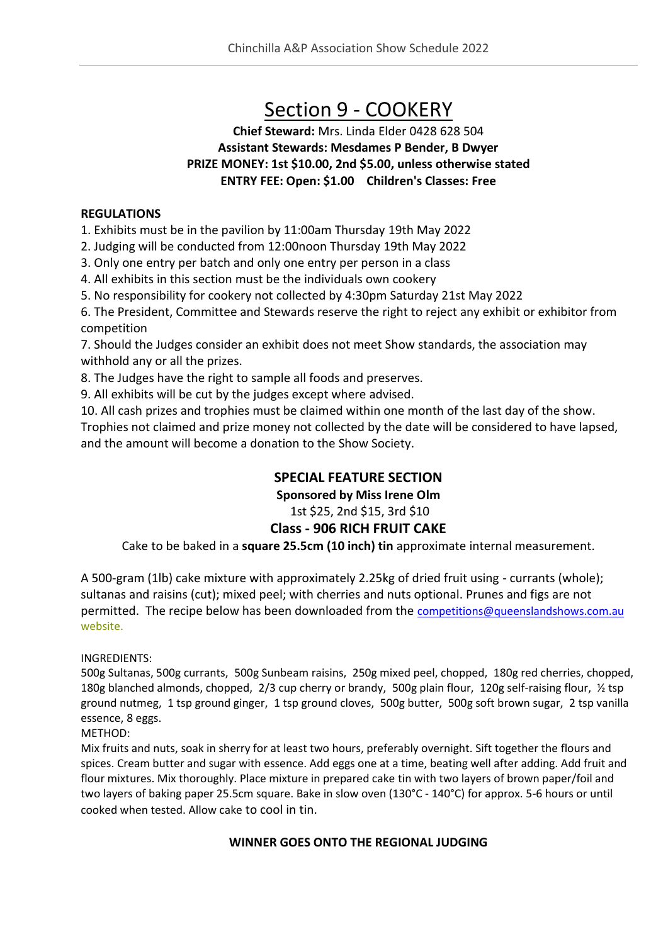# Section 9 - COOKERY

#### **Chief Steward:** Mrs. Linda Elder 0428 628 504 **Assistant Stewards: Mesdames P Bender, B Dwyer PRIZE MONEY: 1st \$10.00, 2nd \$5.00, unless otherwise stated ENTRY FEE: Open: \$1.00 Children's Classes: Free**

#### **REGULATIONS**

1. Exhibits must be in the pavilion by 11:00am Thursday 19th May 2022

2. Judging will be conducted from 12:00noon Thursday 19th May 2022

3. Only one entry per batch and only one entry per person in a class

4. All exhibits in this section must be the individuals own cookery

5. No responsibility for cookery not collected by 4:30pm Saturday 21st May 2022

6. The President, Committee and Stewards reserve the right to reject any exhibit or exhibitor from competition

7. Should the Judges consider an exhibit does not meet Show standards, the association may withhold any or all the prizes.

8. The Judges have the right to sample all foods and preserves.

9. All exhibits will be cut by the judges except where advised.

10. All cash prizes and trophies must be claimed within one month of the last day of the show. Trophies not claimed and prize money not collected by the date will be considered to have lapsed, and the amount will become a donation to the Show Society.

#### **SPECIAL FEATURE SECTION**

**Sponsored by Miss Irene Olm**

#### 1st \$25, 2nd \$15, 3rd \$10

#### **Class - 906 RICH FRUIT CAKE**

Cake to be baked in a **square 25.5cm (10 inch) tin** approximate internal measurement.

A 500-gram (1lb) cake mixture with approximately 2.25kg of dried fruit using - currants (whole); sultanas and raisins (cut); mixed peel; with cherries and nuts optional. Prunes and figs are not permitted. The recipe below has been downloaded from the [competitions@queenslandshows.com.au](mailto:competitions@queenslandshows.com.au) website.

#### INGREDIENTS:

500g Sultanas, 500g currants, 500g Sunbeam raisins, 250g mixed peel, chopped, 180g red cherries, chopped, 180g blanched almonds, chopped, 2/3 cup cherry or brandy, 500g plain flour, 120g self-raising flour, ½ tsp ground nutmeg, 1 tsp ground ginger, 1 tsp ground cloves, 500g butter, 500g soft brown sugar, 2 tsp vanilla essence, 8 eggs.

METHOD:

Mix fruits and nuts, soak in sherry for at least two hours, preferably overnight. Sift together the flours and spices. Cream butter and sugar with essence. Add eggs one at a time, beating well after adding. Add fruit and flour mixtures. Mix thoroughly. Place mixture in prepared cake tin with two layers of brown paper/foil and two layers of baking paper 25.5cm square. Bake in slow oven (130°C - 140°C) for approx. 5-6 hours or until cooked when tested. Allow cake to cool in tin.

#### **WINNER GOES ONTO THE REGIONAL JUDGING**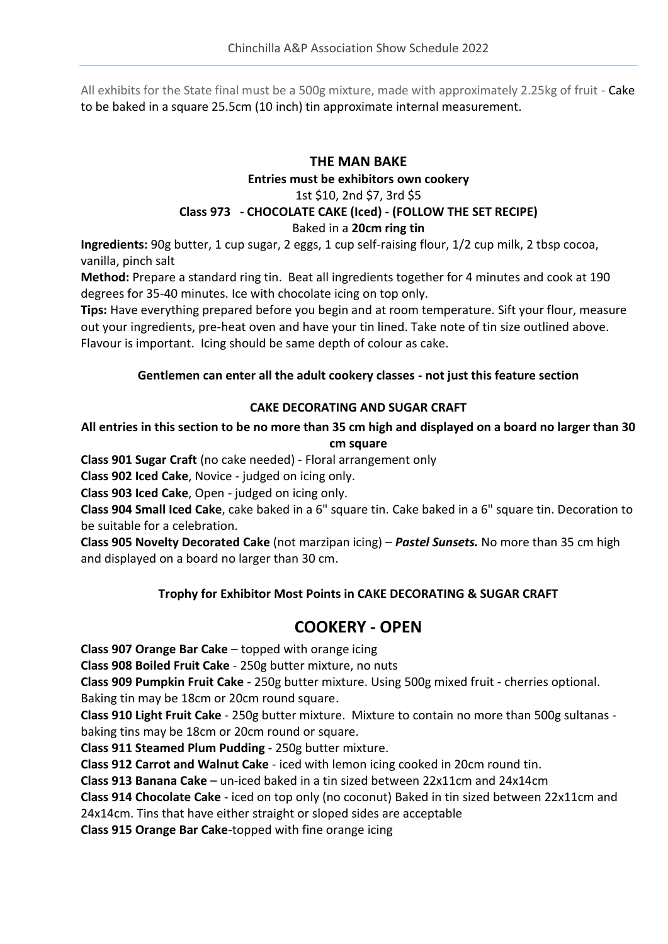All exhibits for the State final must be a 500g mixture, made with approximately 2.25kg of fruit - Cake to be baked in a square 25.5cm (10 inch) tin approximate internal measurement.

# **THE MAN BAKE**

**Entries must be exhibitors own cookery**

# 1st \$10, 2nd \$7, 3rd \$5

# **Class 973 - CHOCOLATE CAKE (Iced) - (FOLLOW THE SET RECIPE)**

Baked in a **20cm ring tin**

**Ingredients:** 90g butter, 1 cup sugar, 2 eggs, 1 cup self-raising flour, 1/2 cup milk, 2 tbsp cocoa, vanilla, pinch salt

**Method:** Prepare a standard ring tin. Beat all ingredients together for 4 minutes and cook at 190 degrees for 35-40 minutes. Ice with chocolate icing on top only.

**Tips:** Have everything prepared before you begin and at room temperature. Sift your flour, measure out your ingredients, pre-heat oven and have your tin lined. Take note of tin size outlined above. Flavour is important. Icing should be same depth of colour as cake.

#### **Gentlemen can enter all the adult cookery classes - not just this feature section**

#### **CAKE DECORATING AND SUGAR CRAFT**

#### **All entries in this section to be no more than 35 cm high and displayed on a board no larger than 30 cm square**

**Class 901 Sugar Craft** (no cake needed) - Floral arrangement only

**Class 902 Iced Cake**, Novice - judged on icing only.

**Class 903 Iced Cake**, Open - judged on icing only.

**Class 904 Small Iced Cake**, cake baked in a 6" square tin. Cake baked in a 6" square tin. Decoration to be suitable for a celebration.

**Class 905 Novelty Decorated Cake** (not marzipan icing) – *Pastel Sunsets.* No more than 35 cm high and displayed on a board no larger than 30 cm.

## **Trophy for Exhibitor Most Points in CAKE DECORATING & SUGAR CRAFT**

# **COOKERY - OPEN**

**Class 907 Orange Bar Cake** – topped with orange icing

**Class 908 Boiled Fruit Cake** - 250g butter mixture, no nuts

**Class 909 Pumpkin Fruit Cake** - 250g butter mixture. Using 500g mixed fruit - cherries optional. Baking tin may be 18cm or 20cm round square.

**Class 910 Light Fruit Cake** - 250g butter mixture. Mixture to contain no more than 500g sultanas baking tins may be 18cm or 20cm round or square.

**Class 911 Steamed Plum Pudding** - 250g butter mixture.

**Class 912 Carrot and Walnut Cake** - iced with lemon icing cooked in 20cm round tin.

**Class 913 Banana Cake** – un-iced baked in a tin sized between 22x11cm and 24x14cm

**Class 914 Chocolate Cake** - iced on top only (no coconut) Baked in tin sized between 22x11cm and 24x14cm. Tins that have either straight or sloped sides are acceptable

**Class 915 Orange Bar Cake**-topped with fine orange icing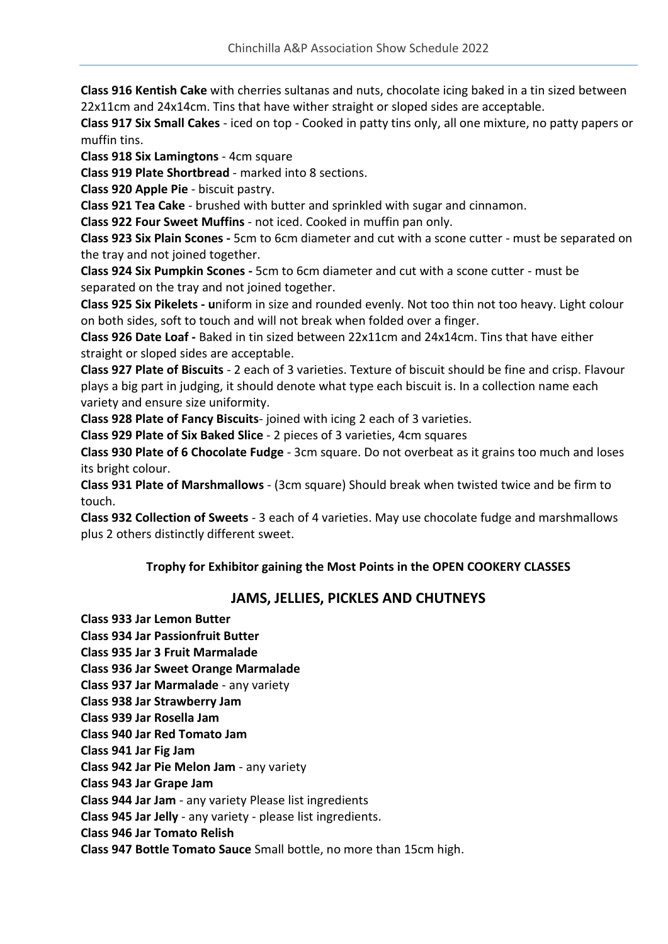**Class 916 Kentish Cake** with cherries sultanas and nuts, chocolate icing baked in a tin sized between 22x11cm and 24x14cm. Tins that have wither straight or sloped sides are acceptable.

**Class 917 Six Small Cakes** - iced on top - Cooked in patty tins only, all one mixture, no patty papers or muffin tins.

**Class 918 Six Lamingtons** - 4cm square

**Class 919 Plate Shortbread** - marked into 8 sections.

**Class 920 Apple Pie** - biscuit pastry.

**Class 921 Tea Cake** - brushed with butter and sprinkled with sugar and cinnamon.

**Class 922 Four Sweet Muffins** - not iced. Cooked in muffin pan only.

**Class 923 Six Plain Scones -** 5cm to 6cm diameter and cut with a scone cutter - must be separated on the tray and not joined together.

**Class 924 Six Pumpkin Scones -** 5cm to 6cm diameter and cut with a scone cutter - must be separated on the tray and not joined together.

**Class 925 Six Pikelets - u**niform in size and rounded evenly. Not too thin not too heavy. Light colour on both sides, soft to touch and will not break when folded over a finger.

**Class 926 Date Loaf -** Baked in tin sized between 22x11cm and 24x14cm. Tins that have either straight or sloped sides are acceptable.

**Class 927 Plate of Biscuits** - 2 each of 3 varieties. Texture of biscuit should be fine and crisp. Flavour plays a big part in judging, it should denote what type each biscuit is. In a collection name each variety and ensure size uniformity.

**Class 928 Plate of Fancy Biscuits**- joined with icing 2 each of 3 varieties.

**Class 929 Plate of Six Baked Slice** - 2 pieces of 3 varieties, 4cm squares

**Class 930 Plate of 6 Chocolate Fudge** - 3cm square. Do not overbeat as it grains too much and loses its bright colour.

**Class 931 Plate of Marshmallows** - (3cm square) Should break when twisted twice and be firm to touch.

**Class 932 Collection of Sweets** - 3 each of 4 varieties. May use chocolate fudge and marshmallows plus 2 others distinctly different sweet.

#### **Trophy for Exhibitor gaining the Most Points in the OPEN COOKERY CLASSES**

## **JAMS, JELLIES, PICKLES AND CHUTNEYS**

- **Class 933 Jar Lemon Butter Class 934 Jar Passionfruit Butter**
- **Class 935 Jar 3 Fruit Marmalade**
- **Class 936 Jar Sweet Orange Marmalade**
- **Class 937 Jar Marmalade** any variety
- **Class 938 Jar Strawberry Jam**
- **Class 939 Jar Rosella Jam**
- **Class 940 Jar Red Tomato Jam**
- **Class 941 Jar Fig Jam**

**Class 942 Jar Pie Melon Jam** - any variety

**Class 943 Jar Grape Jam**

**Class 944 Jar Jam** - any variety Please list ingredients

**Class 945 Jar Jelly** - any variety - please list ingredients.

**Class 946 Jar Tomato Relish**

**Class 947 Bottle Tomato Sauce** Small bottle, no more than 15cm high.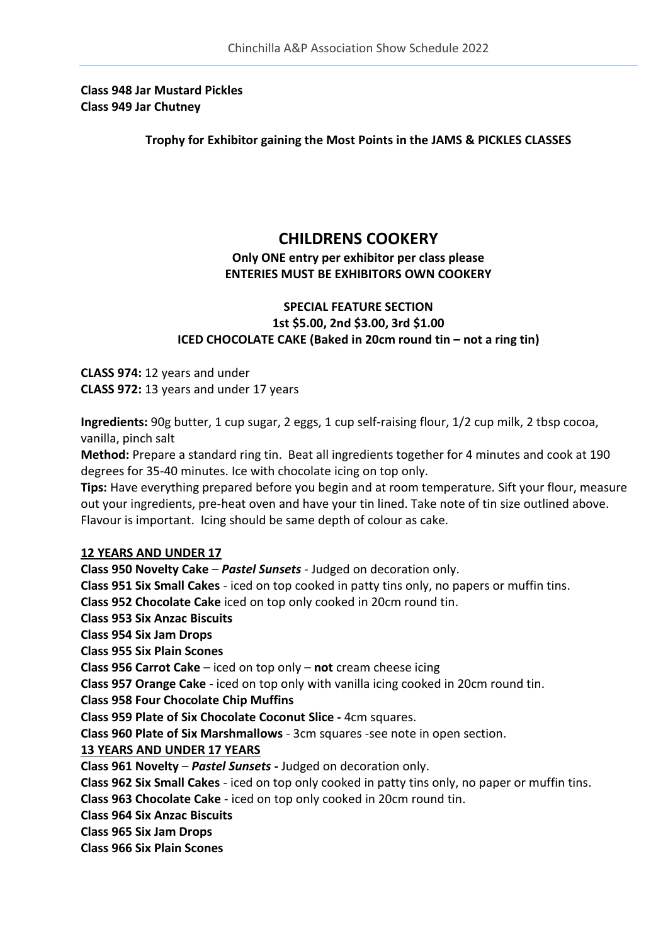**Class 948 Jar Mustard Pickles Class 949 Jar Chutney**

**Trophy for Exhibitor gaining the Most Points in the JAMS & PICKLES CLASSES**

## **CHILDRENS COOKERY**

#### **Only ONE entry per exhibitor per class please ENTERIES MUST BE EXHIBITORS OWN COOKERY**

#### **SPECIAL FEATURE SECTION 1st \$5.00, 2nd \$3.00, 3rd \$1.00 ICED CHOCOLATE CAKE (Baked in 20cm round tin – not a ring tin)**

**CLASS 974:** 12 years and under **CLASS 972:** 13 years and under 17 years

**Ingredients:** 90g butter, 1 cup sugar, 2 eggs, 1 cup self-raising flour, 1/2 cup milk, 2 tbsp cocoa, vanilla, pinch salt

**Method:** Prepare a standard ring tin. Beat all ingredients together for 4 minutes and cook at 190 degrees for 35-40 minutes. Ice with chocolate icing on top only.

**Tips:** Have everything prepared before you begin and at room temperature. Sift your flour, measure out your ingredients, pre-heat oven and have your tin lined. Take note of tin size outlined above. Flavour is important. Icing should be same depth of colour as cake.

#### **12 YEARS AND UNDER 17**

**Class 950 Novelty Cake** – *Pastel Sunsets* - Judged on decoration only.

**Class 951 Six Small Cakes** - iced on top cooked in patty tins only, no papers or muffin tins.

**Class 952 Chocolate Cake** iced on top only cooked in 20cm round tin.

**Class 953 Six Anzac Biscuits**

**Class 954 Six Jam Drops**

**Class 955 Six Plain Scones**

**Class 956 Carrot Cake** – iced on top only – **not** cream cheese icing

**Class 957 Orange Cake** - iced on top only with vanilla icing cooked in 20cm round tin.

**Class 958 Four Chocolate Chip Muffins**

**Class 959 Plate of Six Chocolate Coconut Slice -** 4cm squares.

**Class 960 Plate of Six Marshmallows** - 3cm squares -see note in open section.

#### **13 YEARS AND UNDER 17 YEARS**

**Class 961 Novelty** – *Pastel Sunsets -* Judged on decoration only.

**Class 962 Six Small Cakes** - iced on top only cooked in patty tins only, no paper or muffin tins.

**Class 963 Chocolate Cake** - iced on top only cooked in 20cm round tin.

**Class 964 Six Anzac Biscuits**

**Class 965 Six Jam Drops**

**Class 966 Six Plain Scones**